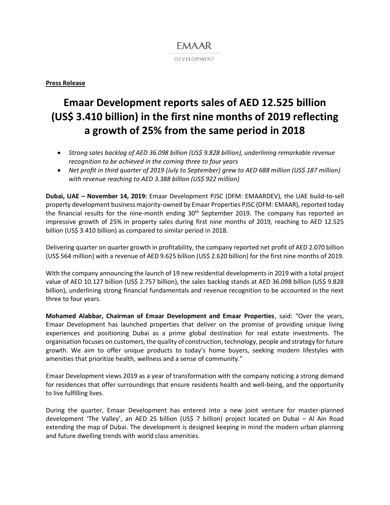### **EMAAR** DEVELOPMENT

#### **Press Release**

# **Emaar Development reports sales of AED 12.525 billion (US\$ 3.410 billion) in the first nine months of 2019 reflecting a growth of 25% from the same period in 2018**

- *Strong sales backlog of AED 36.098 billion (US\$ 9.828 billion), underlining remarkable revenue recognition to be achieved in the coming three to four years*
- *Net profit in third quarter of 2019 (July to September) grew to AED 688 million (US\$ 187 million) with revenue reaching to AED 3.388 billion (US\$ 922 million)*

**Dubai, UAE – November 14, 2019:** Emaar Development PJSC (DFM: EMAARDEV), the UAE build-to-sell property development business majority-owned by Emaar Properties PJSC (DFM: EMAAR), reported today the financial results for the nine-month ending  $30<sup>th</sup>$  September 2019. The company has reported an impressive growth of 25% in property sales during first nine months of 2019, reaching to AED 12.525 billion (US\$ 3.410 billion) as compared to similar period in 2018.

Delivering quarter on quarter growth in profitability, the company reported net profit of AED 2.070 billion (US\$ 564 million) with a revenue of AED 9.625 billion (US\$ 2.620 billion) for the first nine months of 2019.

With the company announcing the launch of 19 new residential developments in 2019 with a total project value of AED 10.127 billion (US\$ 2.757 billion), the sales backlog stands at AED 36.098 billion (US\$ 9.828 billion), underlining strong financial fundamentals and revenue recognition to be accounted in the next three to four years.

**Mohamed Alabbar, Chairman of Emaar Development and Emaar Properties**, said: "Over the years, Emaar Development has launched properties that deliver on the promise of providing unique living experiences and positioning Dubai as a prime global destination for real estate investments. The organisation focuses on customers, the quality of construction, technology, people and strategy for future growth. We aim to offer unique products to today's home buyers, seeking modern lifestyles with amenities that prioritize health, wellness and a sense of community."

Emaar Development views 2019 as a year of transformation with the company noticing a strong demand for residences that offer surroundings that ensure residents health and well-being, and the opportunity to live fulfilling lives.

During the quarter, Emaar Development has entered into a new joint venture for master-planned development 'The Valley', an AED 25 billion (US\$ 7 billion) project located on Dubai – Al Ain Road extending the map of Dubai. The development is designed keeping in mind the modern urban planning and future dwelling trends with world class amenities.